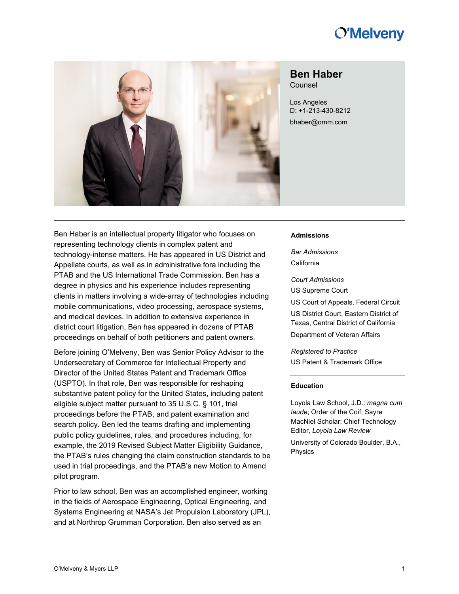# **O'Melveny**



## **Ben Haber**

**Counsel** 

Los Angeles D: +1-213-430-8212 [bhaber@omm.com](mailto:%3c%3c[att.OfficeEmail]%3e%3e)

Ben Haber is an intellectual property litigator who focuses on representing technology clients in complex patent and technology-intense matters. He has appeared in US District and Appellate courts, as well as in administrative fora including the PTAB and the US International Trade Commission. Ben has a degree in physics and his experience includes representing clients in matters involving a wide-array of technologies including mobile communications, video processing, aerospace systems, and medical devices. In addition to extensive experience in district court litigation, Ben has appeared in dozens of PTAB proceedings on behalf of both petitioners and patent owners.

Before joining O'Melveny, Ben was Senior Policy Advisor to the Undersecretary of Commerce for Intellectual Property and Director of the United States Patent and Trademark Office (USPTO). In that role, Ben was responsible for reshaping substantive patent policy for the United States, including patent eligible subject matter pursuant to 35 U.S.C. § 101, trial proceedings before the PTAB, and patent examination and search policy. Ben led the teams drafting and implementing public policy guidelines, rules, and procedures including, for example, the 2019 Revised Subject Matter Eligibility Guidance, the PTAB's rules changing the claim construction standards to be used in trial proceedings, and the PTAB's new Motion to Amend pilot program.

Prior to law school, Ben was an accomplished engineer, working in the fields of Aerospace Engineering, Optical Engineering, and Systems Engineering at NASA's Jet Propulsion Laboratory (JPL), and at Northrop Grumman Corporation. Ben also served as an

#### **Admissions**

*Bar Admissions* **California** 

*Court Admissions*

US Supreme Court

US Court of Appeals, Federal Circuit US District Court, Eastern District of Texas, Central District of California Department of Veteran Affairs

*Registered to Practice* US Patent & Trademark Office

#### **Education**

Loyola Law School, J.D.: *magna cum laude*; Order of the Coif; Sayre MacNiel Scholar; Chief Technology Editor, *Loyola Law Review*

University of Colorado Boulder, B.A., Physics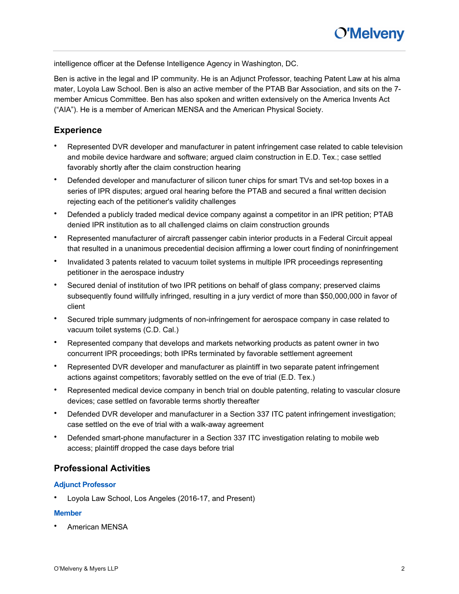intelligence officer at the Defense Intelligence Agency in Washington, DC.

Ben is active in the legal and IP community. He is an Adjunct Professor, teaching Patent Law at his alma mater, Loyola Law School. Ben is also an active member of the PTAB Bar Association, and sits on the 7 member Amicus Committee. Ben has also spoken and written extensively on the America Invents Act ("AIA"). He is a member of American MENSA and the American Physical Society.

## **Experience**

- Represented DVR developer and manufacturer in patent infringement case related to cable television and mobile device hardware and software; argued claim construction in E.D. Tex.; case settled favorably shortly after the claim construction hearing
- Defended developer and manufacturer of silicon tuner chips for smart TVs and set-top boxes in a series of IPR disputes; argued oral hearing before the PTAB and secured a final written decision rejecting each of the petitioner's validity challenges
- Defended a publicly traded medical device company against a competitor in an IPR petition; PTAB denied IPR institution as to all challenged claims on claim construction grounds
- Represented manufacturer of aircraft passenger cabin interior products in a Federal Circuit appeal that resulted in a unanimous precedential decision affirming a lower court finding of noninfringement
- Invalidated 3 patents related to vacuum toilet systems in multiple IPR proceedings representing petitioner in the aerospace industry
- Secured denial of institution of two IPR petitions on behalf of glass company; preserved claims subsequently found willfully infringed, resulting in a jury verdict of more than \$50,000,000 in favor of client
- Secured triple summary judgments of non-infringement for aerospace company in case related to vacuum toilet systems (C.D. Cal.)
- Represented company that develops and markets networking products as patent owner in two concurrent IPR proceedings; both IPRs terminated by favorable settlement agreement
- Represented DVR developer and manufacturer as plaintiff in two separate patent infringement actions against competitors; favorably settled on the eve of trial (E.D. Tex.)
- Represented medical device company in bench trial on double patenting, relating to vascular closure devices; case settled on favorable terms shortly thereafter
- Defended DVR developer and manufacturer in a Section 337 ITC patent infringement investigation; case settled on the eve of trial with a walk-away agreement
- Defended smart-phone manufacturer in a Section 337 ITC investigation relating to mobile web access; plaintiff dropped the case days before trial

## **Professional Activities**

## **Adjunct Professor**

• Loyola Law School, Los Angeles (2016-17, and Present)

## **Member**

• American MENSA